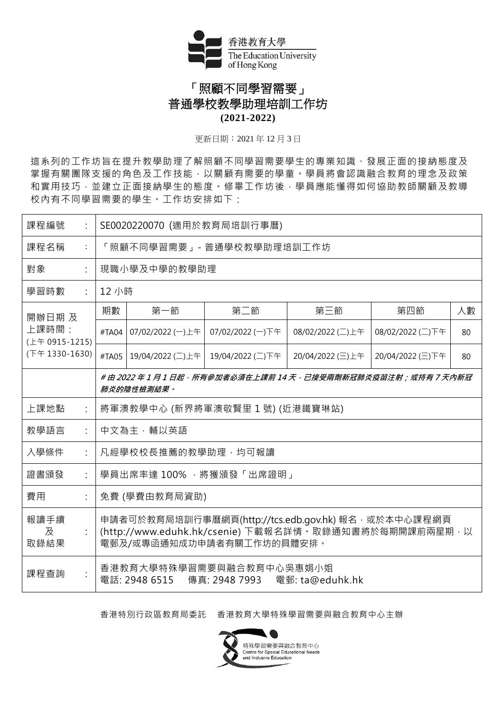

## 「照顧不同學習需要」 普通學校教學助理培訓工作坊 **(2021-2022)**

更新日期︰2021 年 12 月 3 日

這系列的工作坊旨在提升教學助理了解照顧不同學習需要學生的專業知識、發展正面的接納態度及 掌握有關團隊支援的角色及工作技能,以關顧有需要的學童。學員將會認識融合教育的理念及政策 和實用技巧,並建立正面接納學生的態度。修畢工作坊後,學員應能懂得如何協助教師關顧及教導 校內有不同學習需要的學生。工作坊安排如下:

| 課程編號                                                | SE0020220070 (適用於教育局培訓行事曆)                                                                                                                  |                  |                  |                  |                  |    |  |  |  |  |  |
|-----------------------------------------------------|---------------------------------------------------------------------------------------------------------------------------------------------|------------------|------------------|------------------|------------------|----|--|--|--|--|--|
| 課程名稱<br>$\ddot{\cdot}$                              | 「照顧不同學習需要」- 普通學校教學助理培訓工作坊                                                                                                                   |                  |                  |                  |                  |    |  |  |  |  |  |
| 對象<br>$\ddot{\cdot}$                                | 現職小學及中學的教學助理                                                                                                                                |                  |                  |                  |                  |    |  |  |  |  |  |
| 學習時數<br>÷                                           |                                                                                                                                             | 12 小時            |                  |                  |                  |    |  |  |  |  |  |
| 開辦日期 及<br>上課時間:<br>(上午 0915-1215)<br>(下午 1330-1630) | 期數                                                                                                                                          | 第一節              | 第二節              | 第三節              | 第四節              | 人數 |  |  |  |  |  |
|                                                     | #TA04                                                                                                                                       | 07/02/2022 (一)上午 | 07/02/2022 (一)下午 | 08/02/2022 (二)上午 | 08/02/2022 (二)下午 | 80 |  |  |  |  |  |
|                                                     | #TA05                                                                                                                                       | 19/04/2022 (二)上午 | 19/04/2022 (二)下午 | 20/04/2022 (三)上午 | 20/04/2022 (三)下午 | 80 |  |  |  |  |  |
|                                                     | # 由 2022 年 1 月 1 日起,所有參加者必須在上課前 14 天,已接受兩劑新冠肺炎疫苗注射;或持有 7 天内新冠<br>肺炎的陰性檢測結果。                                                                 |                  |                  |                  |                  |    |  |  |  |  |  |
| 上課地點<br>$\ddot{\cdot}$                              | 將軍澳教學中心 (新界將軍澳敬賢里1號) (近港鐵寶琳站)                                                                                                               |                  |                  |                  |                  |    |  |  |  |  |  |
| 教學語言<br>$\ddot{\cdot}$                              | 中文為主,輔以英語                                                                                                                                   |                  |                  |                  |                  |    |  |  |  |  |  |
| 入學條件                                                | 凡經學校校長推薦的教學助理,均可報讀                                                                                                                          |                  |                  |                  |                  |    |  |  |  |  |  |
| 證書頒發                                                | 學員出席率達 100%, 將獲頒發「出席證明」                                                                                                                     |                  |                  |                  |                  |    |  |  |  |  |  |
| 費用                                                  | 免費 (學費由教育局資助)                                                                                                                               |                  |                  |                  |                  |    |  |  |  |  |  |
| 報讀手續<br>及<br>取錄結果                                   | 申請者可於教育局培訓行事曆網頁(http://tcs.edb.gov.hk) 報名, 或於本中心課程網頁<br>(http://www.eduhk.hk/csenie) 下載報名詳情。取錄通知書將於每期開課前兩星期, 以<br>電郵及/或專函通知成功申請者有關工作坊的具體安排。 |                  |                  |                  |                  |    |  |  |  |  |  |
| $\ddot{\cdot}$<br>課程查詢                              | 香港教育大學特殊學習需要與融合教育中心吳惠娟小姐<br>電話: 2948 6515<br>傳真: 2948 7993<br>電郵: ta@eduhk.hk                                                               |                  |                  |                  |                  |    |  |  |  |  |  |

香港特別行政區教育局委託 香港教育大學特殊學習需要與融合教育中心主辦